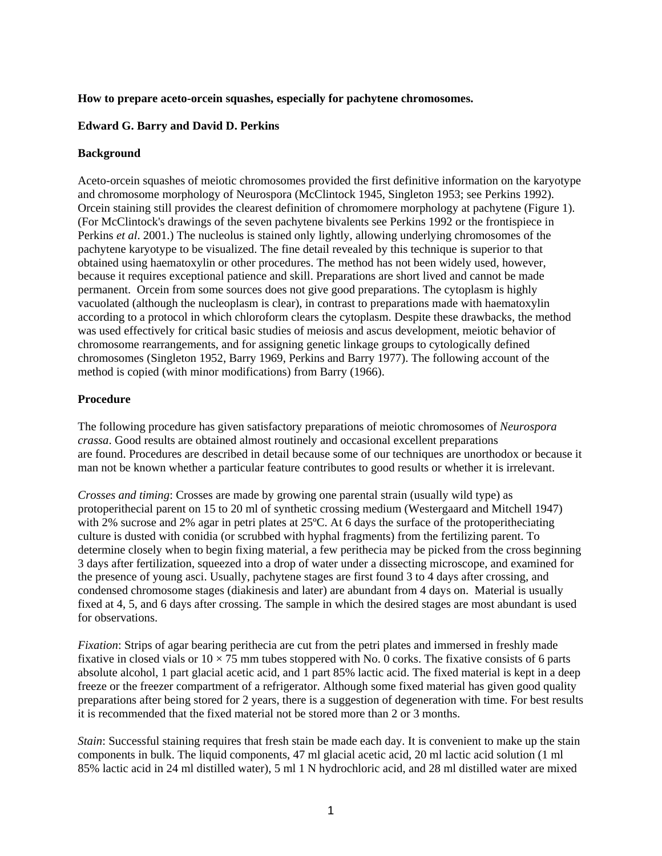# **How to prepare aceto-orcein squashes, especially for pachytene chromosomes.**

# **Edward G. Barry and David D. Perkins**

## **Background**

Aceto-orcein squashes of meiotic chromosomes provided the first definitive information on the karyotype and chromosome morphology of Neurospora (McClintock 1945, Singleton 1953; see Perkins 1992). Orcein staining still provides the clearest definition of chromomere morphology at pachytene (Figure 1). (For McClintock's drawings of the seven pachytene bivalents see Perkins 1992 or the frontispiece in Perkins *et al*. 2001.) The nucleolus is stained only lightly, allowing underlying chromosomes of the pachytene karyotype to be visualized. The fine detail revealed by this technique is superior to that obtained using haematoxylin or other procedures. The method has not been widely used, however, because it requires exceptional patience and skill. Preparations are short lived and cannot be made permanent. Orcein from some sources does not give good preparations. The cytoplasm is highly vacuolated (although the nucleoplasm is clear), in contrast to preparations made with haematoxylin according to a protocol in which chloroform clears the cytoplasm. Despite these drawbacks, the method was used effectively for critical basic studies of meiosis and ascus development, meiotic behavior of chromosome rearrangements, and for assigning genetic linkage groups to cytologically defined chromosomes (Singleton 1952, Barry 1969, Perkins and Barry 1977). The following account of the method is copied (with minor modifications) from Barry (1966).

## **Procedure**

The following procedure has given satisfactory preparations of meiotic chromosomes of *Neurospora crassa*. Good results are obtained almost routinely and occasional excellent preparations are found. Procedures are described in detail because some of our techniques are unorthodox or because it man not be known whether a particular feature contributes to good results or whether it is irrelevant.

*Crosses and timing*: Crosses are made by growing one parental strain (usually wild type) as protoperithecial parent on 15 to 20 ml of synthetic crossing medium (Westergaard and Mitchell 1947) with 2% sucrose and 2% agar in petri plates at 25°C. At 6 days the surface of the protoperitheciating culture is dusted with conidia (or scrubbed with hyphal fragments) from the fertilizing parent. To determine closely when to begin fixing material, a few perithecia may be picked from the cross beginning 3 days after fertilization, squeezed into a drop of water under a dissecting microscope, and examined for the presence of young asci. Usually, pachytene stages are first found 3 to 4 days after crossing, and condensed chromosome stages (diakinesis and later) are abundant from 4 days on. Material is usually fixed at 4, 5, and 6 days after crossing. The sample in which the desired stages are most abundant is used for observations.

*Fixation*: Strips of agar bearing perithecia are cut from the petri plates and immersed in freshly made fixative in closed vials or  $10 \times 75$  mm tubes stoppered with No. 0 corks. The fixative consists of 6 parts absolute alcohol, 1 part glacial acetic acid, and 1 part 85% lactic acid. The fixed material is kept in a deep freeze or the freezer compartment of a refrigerator. Although some fixed material has given good quality preparations after being stored for 2 years, there is a suggestion of degeneration with time. For best results it is recommended that the fixed material not be stored more than 2 or 3 months.

*Stain*: Successful staining requires that fresh stain be made each day. It is convenient to make up the stain components in bulk. The liquid components, 47 ml glacial acetic acid, 20 ml lactic acid solution (1 ml 85% lactic acid in 24 ml distilled water), 5 ml 1 N hydrochloric acid, and 28 ml distilled water are mixed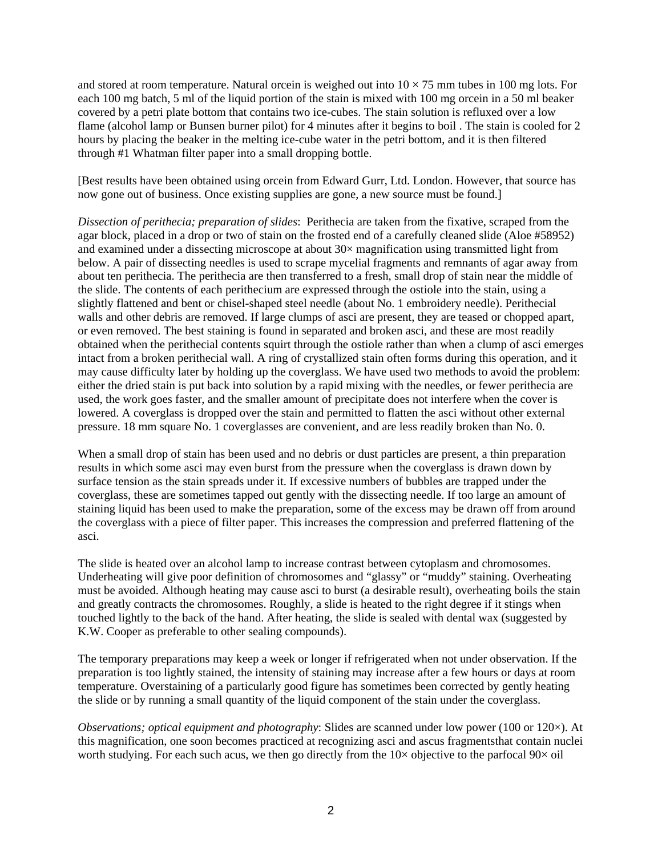and stored at room temperature. Natural orcein is weighed out into  $10 \times 75$  mm tubes in 100 mg lots. For each 100 mg batch, 5 ml of the liquid portion of the stain is mixed with 100 mg orcein in a 50 ml beaker covered by a petri plate bottom that contains two ice-cubes. The stain solution is refluxed over a low flame (alcohol lamp or Bunsen burner pilot) for 4 minutes after it begins to boil . The stain is cooled for 2 hours by placing the beaker in the melting ice-cube water in the petri bottom, and it is then filtered through #1 Whatman filter paper into a small dropping bottle.

[Best results have been obtained using orcein from Edward Gurr, Ltd. London. However, that source has now gone out of business. Once existing supplies are gone, a new source must be found.]

*Dissection of perithecia; preparation of slides*: Perithecia are taken from the fixative, scraped from the agar block, placed in a drop or two of stain on the frosted end of a carefully cleaned slide (Aloe #58952) and examined under a dissecting microscope at about  $30\times$  magnification using transmitted light from below. A pair of dissecting needles is used to scrape mycelial fragments and remnants of agar away from about ten perithecia. The perithecia are then transferred to a fresh, small drop of stain near the middle of the slide. The contents of each perithecium are expressed through the ostiole into the stain, using a slightly flattened and bent or chisel-shaped steel needle (about No. 1 embroidery needle). Perithecial walls and other debris are removed. If large clumps of asci are present, they are teased or chopped apart, or even removed. The best staining is found in separated and broken asci, and these are most readily obtained when the perithecial contents squirt through the ostiole rather than when a clump of asci emerges intact from a broken perithecial wall. A ring of crystallized stain often forms during this operation, and it may cause difficulty later by holding up the coverglass. We have used two methods to avoid the problem: either the dried stain is put back into solution by a rapid mixing with the needles, or fewer perithecia are used, the work goes faster, and the smaller amount of precipitate does not interfere when the cover is lowered. A coverglass is dropped over the stain and permitted to flatten the asci without other external pressure. 18 mm square No. 1 coverglasses are convenient, and are less readily broken than No. 0.

When a small drop of stain has been used and no debris or dust particles are present, a thin preparation results in which some asci may even burst from the pressure when the coverglass is drawn down by surface tension as the stain spreads under it. If excessive numbers of bubbles are trapped under the coverglass, these are sometimes tapped out gently with the dissecting needle. If too large an amount of staining liquid has been used to make the preparation, some of the excess may be drawn off from around the coverglass with a piece of filter paper. This increases the compression and preferred flattening of the asci.

The slide is heated over an alcohol lamp to increase contrast between cytoplasm and chromosomes. Underheating will give poor definition of chromosomes and "glassy" or "muddy" staining. Overheating must be avoided. Although heating may cause asci to burst (a desirable result), overheating boils the stain and greatly contracts the chromosomes. Roughly, a slide is heated to the right degree if it stings when touched lightly to the back of the hand. After heating, the slide is sealed with dental wax (suggested by K.W. Cooper as preferable to other sealing compounds).

The temporary preparations may keep a week or longer if refrigerated when not under observation. If the preparation is too lightly stained, the intensity of staining may increase after a few hours or days at room temperature. Overstaining of a particularly good figure has sometimes been corrected by gently heating the slide or by running a small quantity of the liquid component of the stain under the coverglass.

*Observations; optical equipment and photography*: Slides are scanned under low power (100 or 120×). At this magnification, one soon becomes practiced at recognizing asci and ascus fragmentsthat contain nuclei worth studying. For each such acus, we then go directly from the  $10\times$  objective to the parfocal  $90\times$  oil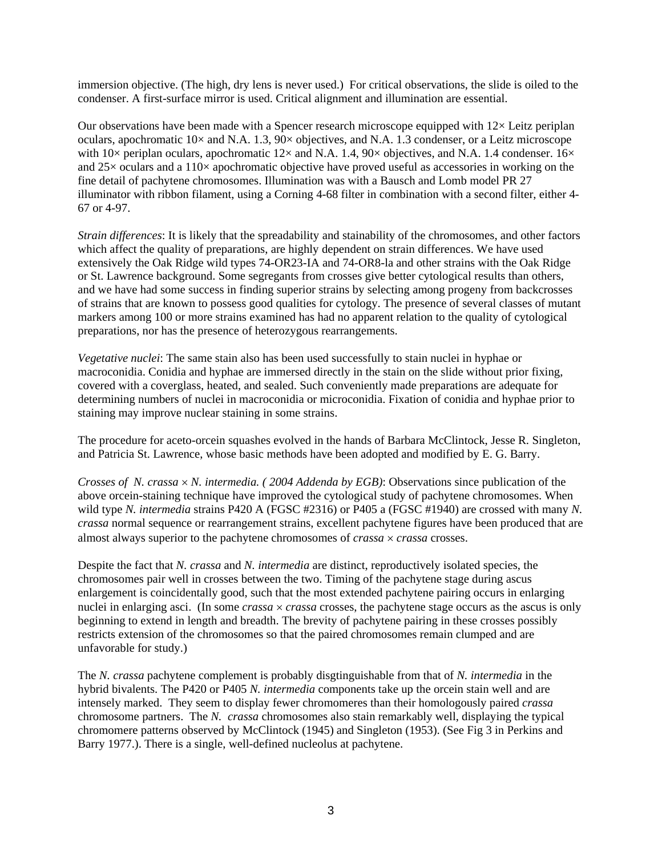immersion objective. (The high, dry lens is never used.) For critical observations, the slide is oiled to the condenser. A first-surface mirror is used. Critical alignment and illumination are essential.

Our observations have been made with a Spencer research microscope equipped with  $12\times$  Leitz periplan oculars, apochromatic  $10\times$  and N.A. 1.3,  $90\times$  objectives, and N.A. 1.3 condenser, or a Leitz microscope with  $10\times$  periplan oculars, apochromatic  $12\times$  and N.A. 1.4, 90 $\times$  objectives, and N.A. 1.4 condenser.  $16\times$ and 25× oculars and a 110× apochromatic objective have proved useful as accessories in working on the fine detail of pachytene chromosomes. Illumination was with a Bausch and Lomb model PR 27 illuminator with ribbon filament, using a Corning 4-68 filter in combination with a second filter, either 4- 67 or 4-97.

*Strain differences*: It is likely that the spreadability and stainability of the chromosomes, and other factors which affect the quality of preparations, are highly dependent on strain differences. We have used extensively the Oak Ridge wild types 74-OR23-IA and 74-OR8-la and other strains with the Oak Ridge or St. Lawrence background. Some segregants from crosses give better cytological results than others, and we have had some success in finding superior strains by selecting among progeny from backcrosses of strains that are known to possess good qualities for cytology. The presence of several classes of mutant markers among 100 or more strains examined has had no apparent relation to the quality of cytological preparations, nor has the presence of heterozygous rearrangements.

*Vegetative nuclei*: The same stain also has been used successfully to stain nuclei in hyphae or macroconidia. Conidia and hyphae are immersed directly in the stain on the slide without prior fixing, covered with a coverglass, heated, and sealed. Such conveniently made preparations are adequate for determining numbers of nuclei in macroconidia or microconidia. Fixation of conidia and hyphae prior to staining may improve nuclear staining in some strains.

The procedure for aceto-orcein squashes evolved in the hands of Barbara McClintock, Jesse R. Singleton, and Patricia St. Lawrence, whose basic methods have been adopted and modified by E. G. Barry.

*Crosses of N. crassa* × *N. intermedia. ( 2004 Addenda by EGB)*: Observations since publication of the above orcein-staining technique have improved the cytological study of pachytene chromosomes. When wild type *N. intermedia* strains P420 A (FGSC #2316) or P405 a (FGSC #1940) are crossed with many *N. crassa* normal sequence or rearrangement strains, excellent pachytene figures have been produced that are almost always superior to the pachytene chromosomes of *crassa* × *crassa* crosses.

Despite the fact that *N. crassa* and *N. intermedia* are distinct, reproductively isolated species, the chromosomes pair well in crosses between the two. Timing of the pachytene stage during ascus enlargement is coincidentally good, such that the most extended pachytene pairing occurs in enlarging nuclei in enlarging asci. (In some *crassa*  $\times$  *crassa* crosses, the pachytene stage occurs as the ascus is only beginning to extend in length and breadth. The brevity of pachytene pairing in these crosses possibly restricts extension of the chromosomes so that the paired chromosomes remain clumped and are unfavorable for study.)

The *N. crassa* pachytene complement is probably disgtinguishable from that of *N. intermedia* in the hybrid bivalents. The P420 or P405 *N. intermedia* components take up the orcein stain well and are intensely marked. They seem to display fewer chromomeres than their homologously paired *crassa* chromosome partners. The *N. crassa* chromosomes also stain remarkably well, displaying the typical chromomere patterns observed by McClintock (1945) and Singleton (1953). (See Fig 3 in Perkins and Barry 1977.). There is a single, well-defined nucleolus at pachytene.